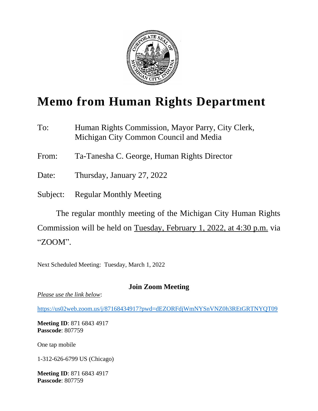

# **Memo from Human Rights Department**

To: Human Rights Commission, Mayor Parry, City Clerk, Michigan City Common Council and Media

From: Ta-Tanesha C. George, Human Rights Director

Date: Thursday, January 27, 2022

Subject: Regular Monthly Meeting

The regular monthly meeting of the Michigan City Human Rights Commission will be held on Tuesday, February 1, 2022, at 4:30 p.m. via "ZOOM".

Next Scheduled Meeting: Tuesday, March 1, 2022

### **Join Zoom Meeting**

*Please use the link below*:

<https://us02web.zoom.us/j/87168434917?pwd=dEZORFdjWmNYSnVNZ0h3REtGRTNYQT09>

**Meeting ID**: 871 6843 4917 **Passcode**: 807759

One tap mobile

1-312-626-6799 US (Chicago)

**Meeting ID**: 871 6843 4917 **Passcode**: 807759